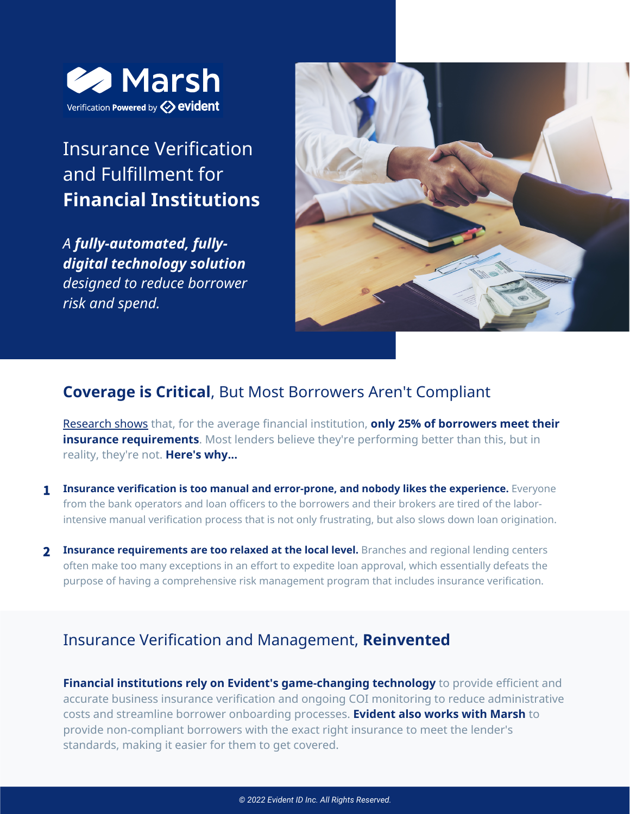

# Insurance Verification and Fulfillment for **Financial Institutions**

*A fully-automated, fullydigital technology solution designed to reduce borrower risk and spend.*



### **Coverage is Critical**, But Most Borrowers Aren't Compliant

[Research](https://www.evidentid.com/resources/the-state-of-third-party-insurance-verification-research-report/) shows that, for the average financial institution, **only 25% of borrowers meet their insurance requirements**. Most lenders believe they're performing better than this, but in reality, they're not. **Here's why...**

- **Insurance verification is too manual and error-prone, and nobody likes the experience.** Everyone from the bank operators and loan officers to the borrowers and their brokers are tired of the laborintensive manual verification process that is not only frustrating, but also slows down loan origination. 1
- **Insurance requirements are too relaxed at the local level.** Branches and regional lending centers 2 often make too many exceptions in an effort to expedite loan approval, which essentially defeats the purpose of having a comprehensive risk management program that includes insurance verification.

## Insurance Verification and Management, **Reinvented**

**Financial institutions rely on Evident's game-changing technology** to provide efficient and accurate business insurance verification and ongoing COI monitoring to reduce administrative costs and streamline borrower onboarding processes. **Evident also works with Marsh** to provide non-compliant borrowers with the exact right insurance to meet the lender's standards, making it easier for them to get covered.